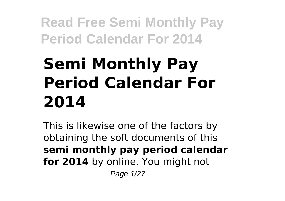# **Semi Monthly Pay Period Calendar For 2014**

This is likewise one of the factors by obtaining the soft documents of this **semi monthly pay period calendar for 2014** by online. You might not

Page 1/27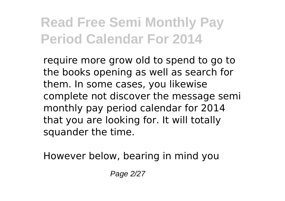require more grow old to spend to go to the books opening as well as search for them. In some cases, you likewise complete not discover the message semi monthly pay period calendar for 2014 that you are looking for. It will totally squander the time.

However below, bearing in mind you

Page 2/27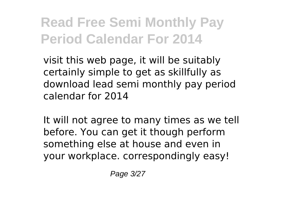visit this web page, it will be suitably certainly simple to get as skillfully as download lead semi monthly pay period calendar for 2014

It will not agree to many times as we tell before. You can get it though perform something else at house and even in your workplace. correspondingly easy!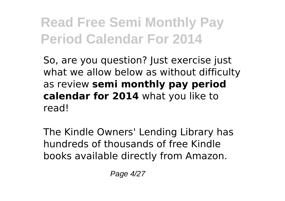So, are you question? Just exercise just what we allow below as without difficulty as review **semi monthly pay period calendar for 2014** what you like to read!

The Kindle Owners' Lending Library has hundreds of thousands of free Kindle books available directly from Amazon.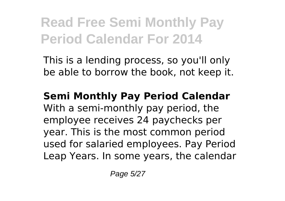This is a lending process, so you'll only be able to borrow the book, not keep it.

**Semi Monthly Pay Period Calendar** With a semi-monthly pay period, the employee receives 24 paychecks per year. This is the most common period used for salaried employees. Pay Period Leap Years. In some years, the calendar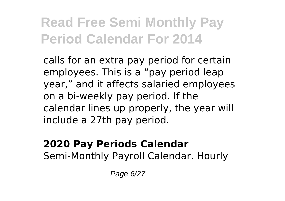calls for an extra pay period for certain employees. This is a "pay period leap year," and it affects salaried employees on a bi-weekly pay period. If the calendar lines up properly, the year will include a 27th pay period.

#### **2020 Pay Periods Calendar** Semi-Monthly Payroll Calendar. Hourly

Page 6/27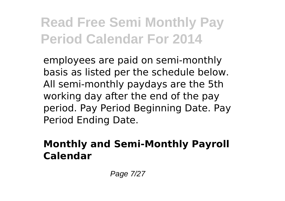employees are paid on semi-monthly basis as listed per the schedule below. All semi-monthly paydays are the 5th working day after the end of the pay period. Pay Period Beginning Date. Pay Period Ending Date.

#### **Monthly and Semi-Monthly Payroll Calendar**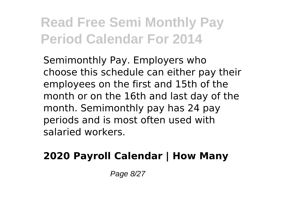Semimonthly Pay. Employers who choose this schedule can either pay their employees on the first and 15th of the month or on the 16th and last day of the month. Semimonthly pay has 24 pay periods and is most often used with salaried workers.

### **2020 Payroll Calendar | How Many**

Page 8/27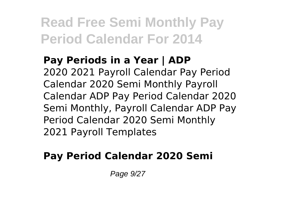**Pay Periods in a Year | ADP** 2020 2021 Payroll Calendar Pay Period Calendar 2020 Semi Monthly Payroll Calendar ADP Pay Period Calendar 2020 Semi Monthly, Payroll Calendar ADP Pay Period Calendar 2020 Semi Monthly 2021 Payroll Templates

### **Pay Period Calendar 2020 Semi**

Page 9/27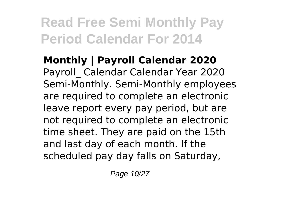**Monthly | Payroll Calendar 2020** Payroll\_ Calendar Calendar Year 2020 Semi-Monthly. Semi-Monthly employees are required to complete an electronic leave report every pay period, but are not required to complete an electronic time sheet. They are paid on the 15th and last day of each month. If the scheduled pay day falls on Saturday,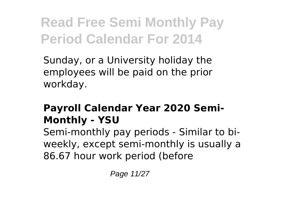Sunday, or a University holiday the employees will be paid on the prior workday.

### **Payroll Calendar Year 2020 Semi-Monthly - YSU**

Semi-monthly pay periods - Similar to biweekly, except semi-monthly is usually a 86.67 hour work period (before

Page 11/27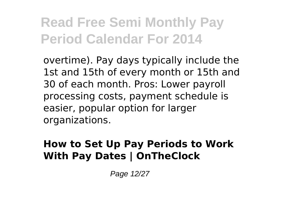overtime). Pay days typically include the 1st and 15th of every month or 15th and 30 of each month. Pros: Lower payroll processing costs, payment schedule is easier, popular option for larger organizations.

#### **How to Set Up Pay Periods to Work With Pay Dates | OnTheClock**

Page 12/27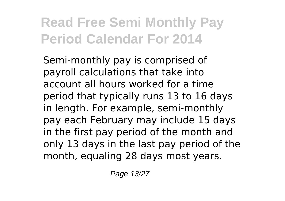Semi-monthly pay is comprised of payroll calculations that take into account all hours worked for a time period that typically runs 13 to 16 days in length. For example, semi-monthly pay each February may include 15 days in the first pay period of the month and only 13 days in the last pay period of the month, equaling 28 days most years.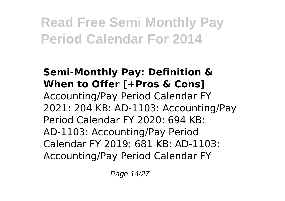#### **Semi-Monthly Pay: Definition & When to Offer [+Pros & Cons]** Accounting/Pay Period Calendar FY 2021: 204 KB: AD-1103: Accounting/Pay Period Calendar FY 2020: 694 KB: AD-1103: Accounting/Pay Period Calendar FY 2019: 681 KB: AD-1103: Accounting/Pay Period Calendar FY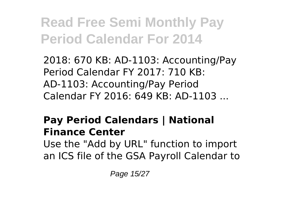2018: 670 KB: AD-1103: Accounting/Pay Period Calendar FY 2017: 710 KB: AD-1103: Accounting/Pay Period Calendar FY 2016: 649 KB: AD-1103 ...

### **Pay Period Calendars | National Finance Center**

Use the "Add by URL" function to import an ICS file of the GSA Payroll Calendar to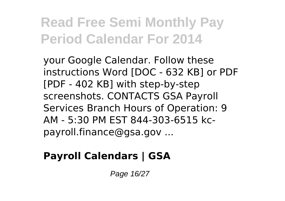your Google Calendar. Follow these instructions Word [DOC - 632 KB] or PDF [PDF - 402 KB] with step-by-step screenshots. CONTACTS GSA Payroll Services Branch Hours of Operation: 9 AM - 5:30 PM EST 844-303-6515 kcpayroll.finance@gsa.gov ...

### **Payroll Calendars | GSA**

Page 16/27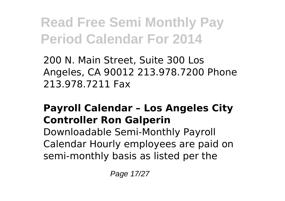200 N. Main Street, Suite 300 Los Angeles, CA 90012 213.978.7200 Phone 213.978.7211 Fax

### **Payroll Calendar – Los Angeles City Controller Ron Galperin**

Downloadable Semi-Monthly Payroll Calendar Hourly employees are paid on semi-monthly basis as listed per the

Page 17/27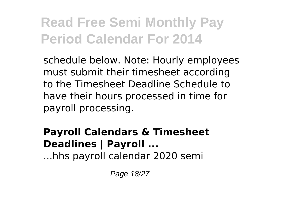schedule below. Note: Hourly employees must submit their timesheet according to the Timesheet Deadline Schedule to have their hours processed in time for payroll processing.

### **Payroll Calendars & Timesheet Deadlines | Payroll ...**

...hhs payroll calendar 2020 semi

Page 18/27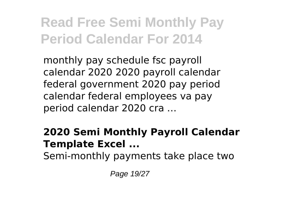monthly pay schedule fsc payroll calendar 2020 2020 payroll calendar federal government 2020 pay period calendar federal employees va pay period calendar 2020 cra …

#### **2020 Semi Monthly Payroll Calendar Template Excel ...**

Semi-monthly payments take place two

Page 19/27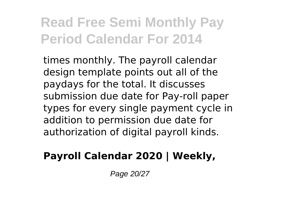times monthly. The payroll calendar design template points out all of the paydays for the total. It discusses submission due date for Pay-roll paper types for every single payment cycle in addition to permission due date for authorization of digital payroll kinds.

### **Payroll Calendar 2020 | Weekly,**

Page 20/27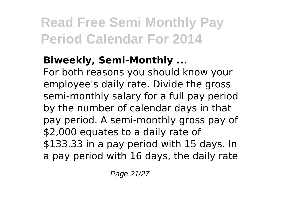### **Biweekly, Semi-Monthly ...**

For both reasons you should know your employee's daily rate. Divide the gross semi-monthly salary for a full pay period by the number of calendar days in that pay period. A semi-monthly gross pay of \$2,000 equates to a daily rate of \$133.33 in a pay period with 15 days. In a pay period with 16 days, the daily rate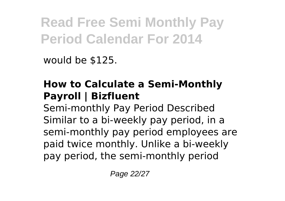would be \$125.

### **How to Calculate a Semi-Monthly Payroll | Bizfluent**

Semi-monthly Pay Period Described Similar to a bi-weekly pay period, in a semi-monthly pay period employees are paid twice monthly. Unlike a bi-weekly pay period, the semi-monthly period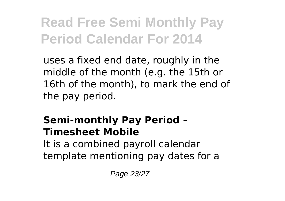uses a fixed end date, roughly in the middle of the month (e.g. the 15th or 16th of the month), to mark the end of the pay period.

### **Semi-monthly Pay Period – Timesheet Mobile**

It is a combined payroll calendar template mentioning pay dates for a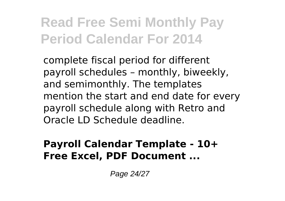complete fiscal period for different payroll schedules – monthly, biweekly, and semimonthly. The templates mention the start and end date for every payroll schedule along with Retro and Oracle LD Schedule deadline.

#### **Payroll Calendar Template - 10+ Free Excel, PDF Document ...**

Page 24/27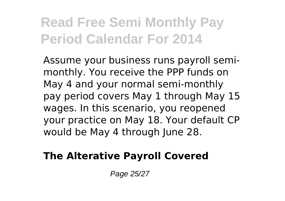Assume your business runs payroll semimonthly. You receive the PPP funds on May 4 and your normal semi-monthly pay period covers May 1 through May 15 wages. In this scenario, you reopened your practice on May 18. Your default CP would be May 4 through June 28.

#### **The Alterative Payroll Covered**

Page 25/27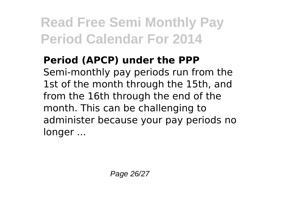### **Period (APCP) under the PPP** Semi-monthly pay periods run from the 1st of the month through the 15th, and from the 16th through the end of the month. This can be challenging to administer because your pay periods no longer ...